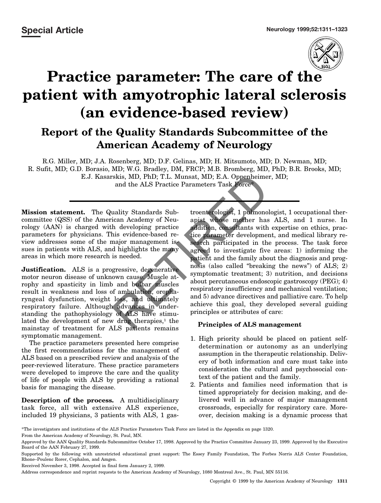

# **Practice parameter: The care of the patient with amyotrophic lateral sclerosis (an evidence-based review)**

# **Report of the Quality Standards Subcommittee of the American Academy of Neurology**

R.G. Miller, MD; J.A. Rosenberg, MD; D.F. Gelinas, MD; H. Mitsumoto, MD; D. Newman, MD; R. Sufit, MD; G.D. Borasio, MD; W.G. Bradley, DM, FRCP; M.B. Bromberg, MD, PhD; B.R. Brooks, MD; E.J. Kasarskis, MD, PhD; T.L. Munsat, MD; E.A. Oppenheimer, MD; and the ALS Practice Parameters Task Force\*

**Mission statement.** The Quality Standards Subcommittee (QSS) of the American Academy of Neurology (AAN) is charged with developing practice parameters for physicians. This evidence-based review addresses some of the major management issues in patients with ALS, and highlights the many areas in which more research is needed.

**Justification.** ALS is a progressive, degenerative motor neuron disease of unknown cause. Muscle atrophy and spasticity in limb and bulbar muscles result in weakness and loss of ambulation, oropharyngeal dysfunction, weight loss, and ultimately respiratory failure. Although advances in understanding the pathophysiology of ALS have stimulated the development of new drug therapies, $<sup>1</sup>$  the</sup> mainstay of treatment for ALS patients remains symptomatic management.

The practice parameters presented here comprise the first recommendations for the management of ALS based on a prescribed review and analysis of the peer-reviewed literature. These practice parameters were developed to improve the care and the quality of life of people with ALS by providing a rational basis for managing the disease.

**Description of the process.** A multidisciplinary task force, all with extensive ALS experience, included 19 physicians, 3 patients with ALS, 1 gas-

troenterologist, 1 pulmonologist, 1 occupational therapist whose mother has ALS, and 1 nurse. In addition, consultants with expertise on ethics, practice parameter development, and medical library research participated in the process. The task force agreed to investigate five areas: 1) informing the patient and the family about the diagnosis and prognosis (also called "breaking the news") of ALS; 2) symptomatic treatment; 3) nutrition, and decisions about percutaneous endoscopic gastroscopy (PEG); 4) respiratory insufficiency and mechanical ventilation; and 5) advance directives and palliative care. To help achieve this goal, they developed several guiding principles or attributes of care: Skis, MD, PhD; T.L. Munsat, MD; E.A. Oppenheime<br>
and the ALS Practice Parameters Task Force<br>
and the ALS Practice Parameters Task Force<br>
in discussions of Neuron apist whose mother has<br>
the developing practice<br>
addition, c

# **Principles of ALS management**

- 1. High priority should be placed on patient selfdetermination or autonomy as an underlying assumption in the therapeutic relationship. Delivery of both information and care must take into consideration the cultural and psychosocial context of the patient and the family.
- 2. Patients and families need information that is timed appropriately for decision making, and delivered well in advance of major management crossroads, especially for respiratory care. Moreover, decision making is a dynamic process that

Received November 3, 1998. Accepted in final form January 2, 1999.

Address correspondence and reprint requests to the American Academy of Neurology, 1080 Montreal Ave., St. Paul, MN 55116.

<sup>\*</sup>The investigators and institutions of the ALS Practice Parameters Task Force are listed in the Appendix on page 1320. From the American Academy of Neurology, St. Paul, MN.

Approved by the AAN Quality Standards Subcommittee October 17, 1998. Approved by the Practice Committee January 23, 1999. Approved by the Executive Board of the AAN February 27, 1999.

Supported by the following with unrestricted educational grant support: The Essey Family Foundation, The Forbes Norris ALS Center Foundation, Rhone–Poulenc Rorer, Cephalon, and Amgen.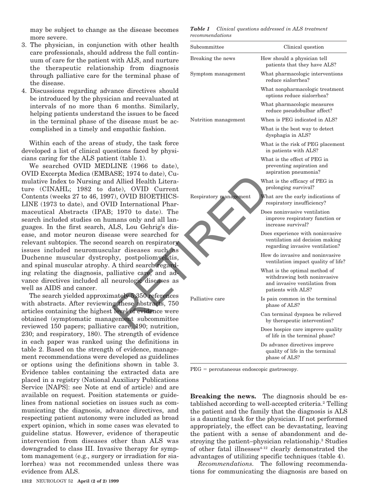may be subject to change as the disease becomes more severe.

- 3. The physician, in conjunction with other health care professionals, should address the full continuum of care for the patient with ALS, and nurture the therapeutic relationship from diagnosis through palliative care for the terminal phase of the disease.
- 4. Discussions regarding advance directives should be introduced by the physician and reevaluated at intervals of no more than 6 months. Similarly, helping patients understand the issues to be faced in the terminal phase of the disease must be accomplished in a timely and empathic fashion.

Within each of the areas of study, the task force developed a list of clinical questions faced by physicians caring for the ALS patient (table 1).

We searched OVID MEDLINE (1966 to date), OVID Excerpta Medica (EMBASE; 1974 to date), Cumulative Index to Nursing and Allied Health Literature (CINAHL; 1982 to date), OVID Current Contents (weeks 27 to 46, 1997), OVID BIOETHICS-LINE (1973 to date), and OVID International Pharmaceutical Abstracts (IPAB; 1970 to date). The search included studies on humans only and all languages. In the first search, ALS, Lou Gehrig's disease, and motor neuron disease were searched for relevant subtopics. The second search on respiratory issues included neuromuscular diseases such as Duchenne muscular dystrophy, postpoliomyelitis, and spinal muscular atrophy. A third search regarding relating the diagnosis, palliative care, and advance directives included all neurologic diseases as well as AIDS and cancer.

The search yielded approximately 5,350 references with abstracts. After reviewing these abstracts, 750 articles containing the highest level of evidence were obtained (symptomatic management subcommittee reviewed 150 papers; palliative care, 190; nutrition, 230; and respiratory, 180). The strength of evidence in each paper was ranked using the definitions in table 2. Based on the strength of evidence, management recommendations were developed as guidelines or options using the definitions shown in table 3. Evidence tables containing the extracted data are placed in a registry (National Auxiliary Publications Service [NAPS]: see Note at end of article) and are available on request. Position statements or guidelines from national societies on issues such as communicating the diagnosis, advance directives, and respecting patient autonomy were included as broad expert opinion, which in some cases was elevated to guideline status. However, evidence of therapeutic intervention from diseases other than ALS was downgraded to class III. Invasive therapy for symptom management (e.g., surgery or irradiation for sialorrhea) was not recommended unless there was evidence from ALS.

*Table 1 Clinical questions addressed in ALS treatment recommendations*

| ion with other health<br>ddress the full contin-                          | Subcommittee           | Clinical question                                                                                                    |
|---------------------------------------------------------------------------|------------------------|----------------------------------------------------------------------------------------------------------------------|
| with ALS, and nurture<br>ship from diagnosis                              | Breaking the news      | How should a physician tell<br>patients that they have ALS?                                                          |
| the terminal phase of                                                     | Symptom management     | What pharmacologic interventions<br>reduce sialorrhea?                                                               |
| ance directives should<br>ian and reevaluated at                          |                        | What nonpharmacologic treatment<br>options reduce sialorrhea?                                                        |
| 6 months. Similarly,<br>d the issues to be faced                          |                        | What pharmacologic measures<br>reduce pseudobulbar affect?                                                           |
| e disease must be ac-                                                     | Nutrition management   | When is PEG indicated in ALS?                                                                                        |
| empathic fashion.                                                         |                        | What is the best way to detect<br>dysphagia in ALS?                                                                  |
| f study, the task force<br>estions faced by physi-                        |                        | What is the risk of PEG placement<br>in patients with ALS?                                                           |
| nt (table 1).<br>LINE (1966 to date),<br>SE; 1974 to date), Cu-           |                        | What is the effect of PEG in<br>preventing aspiration and<br>aspiration pneumonia?                                   |
| d Allied Health Litera-<br>ate), OVID Current                             |                        | What is the efficacy of PEG in<br>prolonging survival?                                                               |
| 7), OVID BIOETHICS-<br>D International Phar-                              | Respiratory management | What are the early indications of<br>respiratory insufficiency?                                                      |
| : 1970 to date). The<br>mans only and all lan-<br>LS, Lou Gehrig's dis-   |                        | Does noninvasive ventilation<br>improve respiratory function or<br>increase survival?                                |
| ase were searched for<br>search on respiratory<br>lar diseases such as    |                        | Does experience with noninvasive<br>ventilation aid decision making<br>regarding invasive ventilation?               |
| hy, postpoliomyelitis,<br>A third search regard-                          |                        | How do invasive and noninvasive<br>ventilation impact quality of life?                                               |
| alliative care, and ad-<br>neurologic diseases as                         |                        | What is the optimal method of<br>withdrawing both noninvasive<br>and invasive ventilation from<br>patients with ALS? |
| nately 5,350 references<br>g these abstracts, 750                         | Palliative care        | Is pain common in the terminal<br>phase of ALS?                                                                      |
| level of evidence were<br>gement subcommittee                             |                        | Can terminal dyspnea be relieved<br>by therapeutic intervention?                                                     |
| e care, 190; nutrition,<br>e strength of evidence                         |                        | Does hospice care improve quality<br>of life in the terminal phase?                                                  |
| sing the definitions in<br>of evidence, manage-<br>eveloped as guidelines |                        | Do advance directives improve<br>quality of life in the terminal<br>phase of ALS?                                    |
| ons shown in table 3.                                                     |                        |                                                                                                                      |

 $PEG = percutaneous endoscopic gastroscopy.$ 

**Breaking the news.** The diagnosis should be established according to well-accepted criteria.2 Telling the patient and the family that the diagnosis is ALS is a daunting task for the physician. If not performed appropriately, the effect can be devastating, leaving the patient with a sense of abandonment and destroying the patient–physician relationship.3 Studies of other fatal illnesses<sup>4-12</sup> clearly demonstrated the advantages of utilizing specific techniques (table 4).

*Recommendations.* The following recommendations for communicating the diagnosis are based on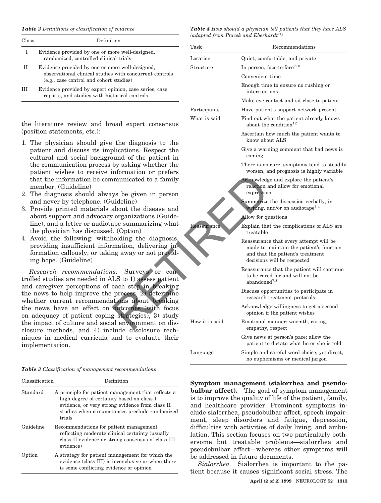*Table 2 Definitions of classification of evidence*

| Class | Definition                                                                                                                                            |
|-------|-------------------------------------------------------------------------------------------------------------------------------------------------------|
| Τ     | Evidence provided by one or more well-designed,<br>randomized, controlled clinical trials                                                             |
| Н     | Evidence provided by one or more well-designed,<br>observational clinical studies with concurrent controls<br>(e.g., case control and cohort studies) |
| ш     | Evidence provided by expert opinion, case series, case<br>reports, and studies with historical controls                                               |

the literature review and broad expert consensus (position statements, etc.):

- 1. The physician should give the diagnosis to the patient and discuss its implications. Respect the cultural and social background of the patient in the communication process by asking whether the patient wishes to receive information or prefers that the information be communicated to a family member. (Guideline)
- 2. The diagnosis should always be given in person and never by telephone. (Guideline)
- 3. Provide printed materials about the disease and about support and advocacy organizations (Guideline), and a letter or audiotape summarizing what the physician has discussed. (Option)
- 4. Avoid the following: withholding the diagnosis, providing insufficient information, delivering information callously, or taking away or not providing hope. (Guideline)

*Research recommendations.* Surveys or controlled studies are needed in ALS to 1) assess patient and caregiver perceptions of each step in breaking the news to help improve the process, 2) determine whether current recommendations about breaking the news have an effect on outcomes (with focus on adequacy of patient coping strategies), 3) study the impact of culture and social environment on disclosure methods, and 4) include disclosure techniques in medical curricula and to evaluate their implementation.

|  |  |  |  |  | <b>Table 3</b> Classification of management recommendations |
|--|--|--|--|--|-------------------------------------------------------------|
|--|--|--|--|--|-------------------------------------------------------------|

| Classification | Definition                                                                                                                                                                                                     |
|----------------|----------------------------------------------------------------------------------------------------------------------------------------------------------------------------------------------------------------|
| Standard       | A principle for patient management that reflects a<br>high degree of certainty based on class I<br>evidence, or very strong evidence from class II<br>studies when circumstances preclude randomized<br>trials |
| Guideline      | Recommendations for patient management<br>reflecting moderate clinical certainty (usually<br>class II evidence or strong consensus of class III<br>evidence)                                                   |
| Option         | A strategy for patient management for which the<br>evidence (class III) is inconclusive or when there<br>is some conflicting evidence or opinion                                                               |

*Table 4 How should a physician tell patients that they have ALS (adapted from Ptacek and Eberhardt11)*

| tion                                                                                                                                                                                                                                                      |                |                                                                                                                                                      |  |
|-----------------------------------------------------------------------------------------------------------------------------------------------------------------------------------------------------------------------------------------------------------|----------------|------------------------------------------------------------------------------------------------------------------------------------------------------|--|
|                                                                                                                                                                                                                                                           | Task           | Recommendations                                                                                                                                      |  |
| ore well-designed,<br>al trials:                                                                                                                                                                                                                          | Location       | Quiet, comfortable, and private                                                                                                                      |  |
| ore well-designed,                                                                                                                                                                                                                                        | Structure      | In person, face-to-face <sup>7-10</sup>                                                                                                              |  |
| with concurrent controls<br>studies)                                                                                                                                                                                                                      |                | Convenient time                                                                                                                                      |  |
| pinion, case series, case                                                                                                                                                                                                                                 |                | Enough time to ensure no rushing or<br>interruptions                                                                                                 |  |
| torical controls                                                                                                                                                                                                                                          |                | Make eye contact and sit close to patient                                                                                                            |  |
|                                                                                                                                                                                                                                                           | Participants   | Have patient's support network present                                                                                                               |  |
| oad expert consensus                                                                                                                                                                                                                                      | What is said   | Find out what the patient already knows<br>about the condition <sup>12</sup>                                                                         |  |
| the diagnosis to the                                                                                                                                                                                                                                      |                | Ascertain how much the patient wants to<br>know about ALS                                                                                            |  |
| plications. Respect the<br>bund of the patient in                                                                                                                                                                                                         |                | Give a warning comment that bad news is<br>coming                                                                                                    |  |
| by asking whether the<br>information or prefers                                                                                                                                                                                                           |                | There is no cure, symptoms tend to steadily<br>worsen, and prognosis is highly variable                                                              |  |
| municated to a family                                                                                                                                                                                                                                     |                | <b>Acknowledge and explore the patient's</b><br>reaction and allow for emotional<br>expression                                                       |  |
| ys be given in person<br>uideline)<br>about the disease and                                                                                                                                                                                               |                | Summarize the discussion verbally, in<br>writing, and/or on audiotape <sup>3,4</sup>                                                                 |  |
| organizations (Guide-                                                                                                                                                                                                                                     |                | Allow for questions                                                                                                                                  |  |
| ape summarizing what<br>l. (Option)                                                                                                                                                                                                                       | Reassurance    | Explain that the complications of ALS are<br>treatable                                                                                               |  |
| nolding the diagnosis,<br>mation, delivering in-<br>ng away or not provid-                                                                                                                                                                                |                | Reassurance that every attempt will be<br>made to maintain the patient's function<br>and that the patient's treatment<br>decisions will be respected |  |
| Surveys or con-<br>s.<br>LS to 1) assess patient<br>each step in breaking<br>process, 2) determine<br>tions about breaking<br>outcomes (with focus<br>g strategies), 3) study<br>al environment on dis-<br>lude disclosure tech-<br>and to evaluate their |                | Reassurance that the patient will continue<br>to be cared for and will not be<br>abandoned <sup>7,8</sup>                                            |  |
|                                                                                                                                                                                                                                                           |                | Discuss opportunities to participate in<br>research treatment protocols                                                                              |  |
|                                                                                                                                                                                                                                                           |                | Acknowledge willingness to get a second<br>opinion if the patient wishes                                                                             |  |
|                                                                                                                                                                                                                                                           | How it is said | Emotional manner: warmth, caring,<br>empathy, respect                                                                                                |  |
|                                                                                                                                                                                                                                                           |                | Give news at person's pace; allow the<br>patient to dictate what he or she is told                                                                   |  |
|                                                                                                                                                                                                                                                           | Language       | Simple and careful word choice, yet direct;<br>no euphemisms or medical jargon                                                                       |  |
|                                                                                                                                                                                                                                                           |                |                                                                                                                                                      |  |

**Symptom management (sialorrhea and pseudobulbar affect**). The goal of symptom management is to improve the quality of life of the patient, family, and healthcare provider. Prominent symptoms include sialorrhea, pseudobulbar affect, speech impairment, sleep disorders and fatigue, depression, difficulties with activities of daily living, and ambulation. This section focuses on two particularly bothersome but treatable problems—sialorrhea and pseudobulbar affect—whereas other symptoms will be addressed in future documents.

*Sialorrhea.* Sialorrhea is important to the patient because it causes significant social stress. The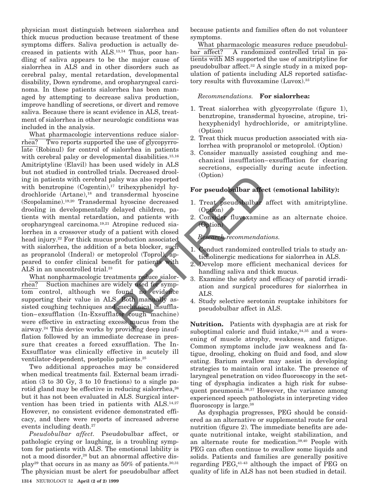physician must distinguish between sialorrhea and thick mucus production because treatment of these symptoms differs. Saliva production is actually decreased in patients with ALS.13,14 Thus, poor handling of saliva appears to be the major cause of sialorrhea in ALS and in other disorders such as cerebral palsy, mental retardation, developmental disability, Down syndrome, and oropharyngeal carcinoma. In these patients sialorrhea has been managed by attempting to decrease saliva production, improve handling of secretions, or divert and remove saliva. Because there is scant evidence in ALS, treatment of sialorrhea in other neurologic conditions was included in the analysis.

What pharmacologic interventions reduce sialorrhea? Two reports supported the use of glycopyrrolate (Robinul) for control of sialorrhea in patients with cerebral palsy or developmental disabilities.<sup>15,16</sup> Amitriptyline (Elavil) has been used widely in ALS but not studied in controlled trials. Decreased drooling in patients with cerebral palsy was also reported with benztropine  $(Cogentin),<sup>17</sup>$  trihexyphenidyl hydrochloride (Artane),<sup>18</sup> and transdermal hyoscine (Scopolamine).19,20 Transdermal hyoscine decreased drooling in developmentally delayed children, patients with mental retardation, and patients with oropharyngeal carcinoma.19,21 Atropine reduced sialorrhea in a crossover study of a patient with closed head injury.<sup>22</sup> For thick mucus production associated with sialorrhea, the addition of a beta blocker, such as propranolol (Inderal) or metoprolol (Toprol), appeared to confer clinical benefit for patients with ALS in an uncontrolled trial.<sup>23</sup> All and the state of a beta model widely as the manufacture of the manufacture of the manufacture of a beta blocker, such an and patients with a patient with a spectral control of a beta blocker, such the exercise of a bet

What nonpharmacologic treatments reduce sialorrhea? Suction machines are widely used for symptom control, although we found no evidence supporting their value in ALS. Both manually assisted coughing techniques and mechanical insufflation–exsufflation (In-Exsufflator cough machine) were effective in extracting excess mucus from the airway.24 This device works by providing deep insufflation followed by an immediate decrease in pressure that creates a forced exsufflation. The In-Exsufflator was clinically effective in acutely ill ventilator-dependent, postpolio patients.25

Two additional approaches may be considered when medical treatments fail. External beam irradiation (3 to 30 Gy, 3 to 10 fractions) to a single parotid gland may be effective in reducing sialorrhea,<sup>26</sup> but it has not been evaluated in ALS. Surgical intervention has been tried in patients with ALS.14,27 However, no consistent evidence demonstrated efficacy, and there were reports of increased adverse events including death.27

*Pseudobulbar affect.* Pseudobulbar affect, or pathologic crying or laughing, is a troubling symptom for patients with ALS. The emotional lability is not a mood disorder,<sup>28</sup> but an abnormal affective display<sup>29</sup> that occurs in as many as  $50\%$  of patients.<sup>30,31</sup> The physician must be alert for pseudobulbar affect because patients and families often do not volunteer symptoms.

What pharmacologic measures reduce pseudobulbar affect? A randomized controlled trial in patients with MS supported the use of amitriptyline for pseudobulbar affect.32 A single study in a mixed population of patients including ALS reported satisfactory results with fluvoxamine (Luvox).<sup>33</sup>

#### *Recommendations.* **For sialorrhea:**

- 1. Treat sialorrhea with glycopyrrolate (figure 1), benztropine, transdermal hyoscine, atropine, trihexyphenidyl hydrochloride, or amitriptyline. (Option)
- 2. Treat thick mucus production associated with sialorrhea with propranolol or metoprolol. (Option)
- 3. Consider manually assisted coughing and mechanical insufflation–exsufflation for clearing secretions, especially during acute infection. (Option)

# **For pseudobulbar affect (emotional lability):**

- 1. Treat pseudobulbar affect with amitriptyline. (Option)
- 2. Consider fluvoxamine as an alternate choice. (Option)

# *Research recommendations.*

- 1. Conduct randomized controlled trials to study anticholinergic medications for sialorrhea in ALS.
- 2. Develop more efficient mechanical devices for handling saliva and thick mucus.
- 3. Examine the safety and efficacy of parotid irradiation and surgical procedures for sialorrhea in ALS.
- 4. Study selective serotonin reuptake inhibitors for pseudobulbar affect in ALS.

**Nutrition.** Patients with dysphagia are at risk for suboptimal caloric and fluid intake, 34,35 and a worsening of muscle atrophy, weakness, and fatigue. Common symptoms include jaw weakness and fatigue, drooling, choking on fluid and food, and slow eating. Barium swallow may assist in developing strategies to maintain oral intake. The presence of laryngeal penetration on video fluoroscopy in the setting of dysphagia indicates a high risk for subsequent pneumonia.36,37 However, the variance among experienced speech pathologists in interpreting video fluoroscopy is large.<sup>38</sup>

As dysphagia progresses, PEG should be considered as an alternative or supplemental route for oral nutrition (figure 2). The immediate benefits are adequate nutritional intake, weight stabilization, and an alternate route for medication.39,40 People with PEG can often continue to swallow some liquids and solids. Patients and families are generally positive regarding PEG,41-43 although the impact of PEG on quality of life in ALS has not been studied in detail.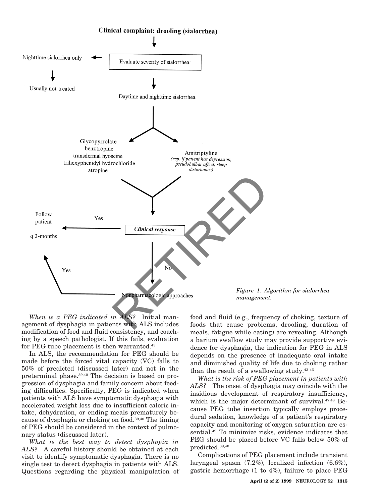

*When is a PEG indicated in ALS?* Initial management of dysphagia in patients with ALS includes modification of food and fluid consistency, and coaching by a speech pathologist. If this fails, evaluation for PEG tube placement is then warranted.<sup>43</sup>

In ALS, the recommendation for PEG should be made before the forced vital capacity (VC) falls to 50% of predicted (discussed later) and not in the preterminal phase.39,40 The decision is based on progression of dysphagia and family concern about feeding difficulties. Specifically, PEG is indicated when patients with ALS have symptomatic dysphagia with accelerated weight loss due to insufficient caloric intake, dehydration, or ending meals prematurely because of dysphagia or choking on food.39,40 The timing of PEG should be considered in the context of pulmonary status (discussed later).

*What is the best way to detect dysphagia in ALS?* A careful history should be obtained at each visit to identify symptomatic dysphagia. There is no single test to detect dysphagia in patients with ALS. Questions regarding the physical manipulation of food and fluid (e.g., frequency of choking, texture of foods that cause problems, drooling, duration of meals, fatigue while eating) are revealing. Although a barium swallow study may provide supportive evidence for dysphagia, the indication for PEG in ALS

depends on the presence of inadequate oral intake and diminished quality of life due to choking rather than the result of a swallowing study. $43-46$ *What is the risk of PEG placement in patients with*

*ALS?* The onset of dysphagia may coincide with the insidious development of respiratory insufficiency, which is the major determinant of survival.47,48 Because PEG tube insertion typically employs procedural sedation, knowledge of a patient's respiratory capacity and monitoring of oxygen saturation are essential.49 To minimize risks, evidence indicates that PEG should be placed before VC falls below 50% of predicted.39,40

Complications of PEG placement include transient laryngeal spasm (7.2%), localized infection (6.6%), gastric hemorrhage (1 to 4%), failure to place PEG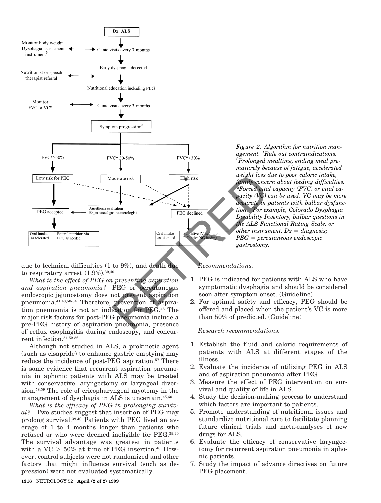

due to technical difficulties (1 to 9%), and death due to respiratory arrest  $(1.9\%)$ .<sup>39,40</sup>

*What is the effect of PEG on preventing aspiration and aspiration pneumonia?* PEG or percutaneous endoscopic jejunostomy does not prevent aspiration pneumonia.41,43,50-54 Therefore, prevention of aspiration pneumonia is not an indication for PEG.46 The major risk factors for post-PEG pneumonia include a pre-PEG history of aspiration pneumonia, presence of reflux esophagitis during endoscopy, and concurrent infection.51,52-56

Although not studied in ALS, a prokinetic agent (such as cisapride) to enhance gastric emptying may reduce the incidence of post-PEG aspiration.<sup>57</sup> There is some evidence that recurrent aspiration pneumonia in aphonic patients with ALS may be treated with conservative laryngectomy or laryngeal diversion.58,59 The role of cricopharyngeal myotomy in the management of dysphagia in ALS is uncertain.45,60

*What is the efficacy of PEG in prolonging survival?* Two studies suggest that insertion of PEG may prolong survival.39,40 Patients with PEG lived an average of 1 to 4 months longer than patients who refused or who were deemed ineligible for PEG.39,40 The survival advantage was greatest in patients with a  $VC > 50\%$  at time of PEG insertion.<sup>40</sup> However, control subjects were not randomized and other factors that might influence survival (such as depression) were not evaluated systematically.

#### *Figure 2. Algorithm for nutrition management. <sup>1</sup> Rule out contraindications. <sup>2</sup> Prolonged mealtime, ending meal prematurely because of fatigue, accelerated weight loss due to poor caloric intake, family concern about feeding difficulties. \*Forced vital capacity (FVC) or vital capacity (VC) can be used. VC may be more accurate in patients with bulbar dysfunction. <sup>3</sup> For example, Colorado Dysphagia Disability Inventory, bulbar questions in the ALS Functional Rating Scale, or other instrument.*  $Dx = diagnosis;$  $PEG = percutaneous endoscopic$ *gastrostomy.*

# *Recommendations.*

- 1. PEG is indicated for patients with ALS who have symptomatic dysphagia and should be considered soon after symptom onset. (Guideline)
- 2. For optimal safety and efficacy, PEG should be offered and placed when the patient's VC is more than 50% of predicted. (Guideline)

# *Research recommendations.*

- 1. Establish the fluid and caloric requirements of patients with ALS at different stages of the illness.
- 2. Evaluate the incidence of utilizing PEG in ALS and of aspiration pneumonia after PEG.
- 3. Measure the effect of PEG intervention on survival and quality of life in ALS.
- 4. Study the decision-making process to understand which factors are important to patients.
- 5. Promote understanding of nutritional issues and standardize nutritional care to facilitate planning future clinical trials and meta-analyses of new drugs for ALS.
- 6. Evaluate the efficacy of conservative laryngectomy for recurrent aspiration pneumonia in aphonic patients.
- 7. Study the impact of advance directives on future PEG placement.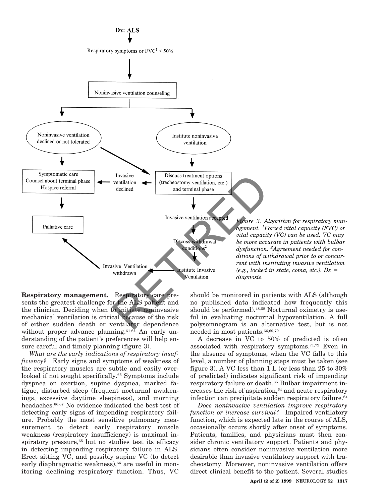

**Respiratory management.** Respiratory care presents the greatest challenge for the ALS patient and the clinician. Deciding when to initiate noninvasive mechanical ventilation is critical because of the risk of either sudden death or ventilator dependence without proper advance planning.<sup>61-64</sup> An early understanding of the patient's preferences will help ensure careful and timely planning (figure 3).

*What are the early indications of respiratory insufficiency?* Early signs and symptoms of weakness of the respiratory muscles are subtle and easily overlooked if not sought specifically.<sup>65</sup> Symptoms include dyspnea on exertion, supine dyspnea, marked fatigue, disturbed sleep (frequent nocturnal awakenings, excessive daytime sleepiness), and morning headaches.66,67 No evidence indicated the best test of detecting early signs of impending respiratory failure. Probably the most sensitive pulmonary measurement to detect early respiratory muscle weakness (respiratory insufficiency) is maximal inspiratory pressure, $65$  but no studies test its efficacy in detecting impending respiratory failure in ALS. Erect sitting VC, and possibly supine VC (to detect early diaphragmatic weakness), $66$  are useful in monitoring declining respiratory function. Thus, VC

should be monitored in patients with ALS (although no published data indicated how frequently this should be performed).<sup>48,68</sup> Nocturnal oximetry is useful in evaluating nocturnal hypoventilation. A full polysomnogram is an alternative test, but is not needed in most patients.<sup>66,69,70</sup>

A decrease in VC to 50% of predicted is often associated with respiratory symptoms.71,72 Even in the absence of symptoms, when the VC falls to this level, a number of planning steps must be taken (see figure 3). A VC less than 1 L (or less than 25 to 30% of predicted) indicates significant risk of impending respiratory failure or death.65 Bulbar impairment increases the risk of aspiration, $64$  and acute respiratory infection can precipitate sudden respiratory failure.<sup>64</sup>

*Does noninvasive ventilation improve respiratory function or increase survival?* Impaired ventilatory function, which is expected late in the course of ALS, occasionally occurs shortly after onset of symptoms. Patients, families, and physicians must then consider chronic ventilatory support. Patients and physicians often consider noninvasive ventilation more desirable than invasive ventilatory support with tracheostomy. Moreover, noninvasive ventilation offers direct clinical benefit to the patient. Several studies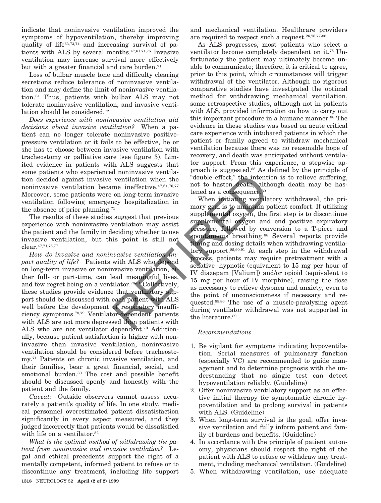indicate that noninvasive ventilation improved the symptoms of hypoventilation, thereby improving quality of life<sup>63,73,74</sup> and increasing survival of patients with ALS by several months.47,61,71,75 Invasive ventilation may increase survival more effectively but with a greater financial and care burden.<sup>71</sup>

Loss of bulbar muscle tone and difficulty clearing secretions reduce tolerance of noninvasive ventilation and may define the limit of noninvasive ventilation.61 Thus, patients with bulbar ALS may not tolerate noninvasive ventilation, and invasive ventilation should be considered.72

*Does experience with noninvasive ventilation aid decisions about invasive ventilation?* When a patient can no longer tolerate noninvasive positivepressure ventilation or it fails to be effective, he or she has to choose between invasive ventilation with tracheostomy or palliative care (see figure 3). Limited evidence in patients with ALS suggests that some patients who experienced noninvasive ventilation decided against invasive ventilation when the noninvasive ventilation became ineffective.<sup>47,61,76,77</sup> Moreover, some patients were on long-term invasive ventilation following emergency hospitalization in the absence of prior planning.71

The results of these studies suggest that previous experience with noninvasive ventilation may assist the patient and the family in deciding whether to use invasive ventilation, but this point is still not clear.47,71,76,77

*How do invasive and noninvasive ventilation impact quality of life?* Patients with ALS who depend on long-term invasive or noninvasive ventilation, either full- or part-time, can lead meaningful lives, and few regret being on a ventilator.78-81 Collectively, these studies provide evidence that ventilatory support should be discussed with each patient with ALS well before the development of respiratory insufficiency symptoms.78,79 Ventilator-dependent patients with ALS are not more depressed than patients with ALS who are not ventilator dependent.79 Additionally, because patient satisfaction is higher with noninvasive than invasive ventilation, noninvasive ventilation should be considered before tracheostomy.71 Patients on chronic invasive ventilation, and their families, bear a great financial, social, and emotional burden.<sup>80</sup> The cost and possible benefit should be discussed openly and honestly with the patient and the family.

*Caveat:* Outside observers cannot assess accurately a patient's quality of life. In one study, medical personnel overestimated patient dissatisfaction significantly in every aspect measured, and they judged incorrectly that patients would be dissatisfied with life on a ventilator.<sup>82</sup>

*What is the optimal method of withdrawing the patient from noninvasive and invasive ventilation?* Legal and ethical precedents support the right of a mentally competent, informed patient to refuse or to discontinue any treatment, including life support and mechanical ventilation. Healthcare providers are required to respect such a request.26,76,77-88

As ALS progresses, most patients who select a ventilator become completely dependent on it.75 Unfortunately the patient may ultimately become unable to communicate; therefore, it is critical to agree, prior to this point, which circumstances will trigger withdrawal of the ventilator. Although no rigorous comparative studies have investigated the optimal method for withdrawing mechanical ventilation, some retrospective studies, although not in patients with ALS, provided information on how to carry out this important procedure in a humane manner.<sup>88</sup> The evidence in these studies was based on acute critical care experience with intubated patients in which the patient or family agreed to withdraw mechanical ventilation because there was no reasonable hope of recovery, and death was anticipated without ventilator support. From this experience, a stepwise approach is suggested.88 As defined by the principle of "double effect," the intention is to relieve suffering, not to hasten death, although death may be hastened as a consequence.<sup>89</sup>

When initiating ventilatory withdrawal, the primary goal is to maintain patient comfort. If utilizing supplemental oxygen, the first step is to discontinue supplemental oxygen and end positive expiratory pressure, followed by conversion to a T-piece and spontaneous breathing.<sup>88</sup> Several reports provide timing and dosing details when withdrawing ventilatory support.85,90,91 At each step in the withdrawal process, patients may require pretreatment with a sedative–hypnotic (equivalent to 15 mg per hour of IV diazepam [Valium]) and/or opioid (equivalent to 15 mg per hour of IV morphine), raising the dose as necessary to relieve dyspnea and anxiety, even to the point of unconsciousness if necessary and requested.85,86 The use of a muscle-paralyzing agent during ventilator withdrawal was not supported in the literature.89  $\begin{array}{ll}\n \text{in} \text{matrix} & \text{value} \\
 \text{in} \text{matrix} & \text{value} \\
 \text{in} \text{matrix} & \text{value} \\
 \text{in} \text{matrix} & \text{value} \\
 \text{in} \text{matrix} & \text{value} \\
 \text{in} \text{matrix} & \text{value} \\
 \text{in} \text{matrix} & \text{value} \\
 \text{in} \text{matrix} & \text{value} \\
 \text{in} \text{matrix} & \text{value} \\
 \text{in} \text{matrix} & \text{value} \\
 \text{in} \text{matrix} & \text{value} \\
 \text{in} \text{matrix} & \text{value} \\
 \text{in} \text{$ 

#### *Recommendations.*

- 1. Be vigilant for symptoms indicating hypoventilation. Serial measures of pulmonary function (especially VC) are recommended to guide management and to determine prognosis with the understanding that no single test can detect hypoventilation reliably. (Guideline)
- 2. Offer noninvasive ventilatory support as an effective initial therapy for symptomatic chronic hypoventilation and to prolong survival in patients with ALS. (Guideline)
- 3. When long-term survival is the goal, offer invasive ventilation and fully inform patient and family of burdens and benefits. (Guideline)
- 4. In accordance with the principle of patient autonomy, physicians should respect the right of the patient with ALS to refuse or withdraw any treatment, including mechanical ventilation. (Guideline)
- 5. When withdrawing ventilation, use adequate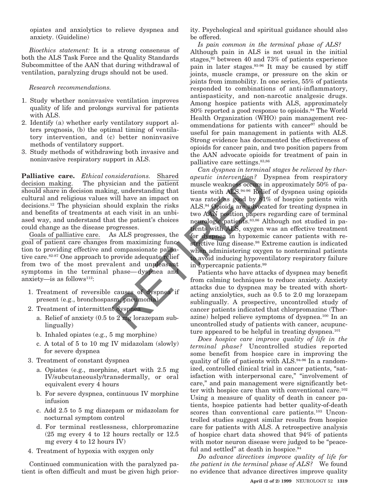opiates and anxiolytics to relieve dyspnea and anxiety. (Guideline)

*Bioethics statement:* It is a strong consensus of both the ALS Task Force and the Quality Standards Subcommittee of the AAN that during withdrawal of ventilation, paralyzing drugs should not be used.

*Research recommendations.*

- 1. Study whether noninvasive ventilation improves quality of life and prolongs survival for patients with ALS.
- 2. Identify (a) whether early ventilatory support alters prognosis, (b) the optimal timing of ventilatory intervention, and (c) better noninvasive methods of ventilatory support.
- 3. Study methods of withdrawing both invasive and noninvasive respiratory support in ALS.

**Palliative care.** *Ethical considerations.* Shared decision making. The physician and the patient should share in decision making, understanding that cultural and religious values will have an impact on decisions.12 The physician should explain the risks and benefits of treatments at each visit in an unbiased way, and understand that the patient's choices could change as the disease progresses.

Goals of palliative care. As ALS progresses, the goal of patient care changes from maximizing function to providing effective and compassionate palliative care.<sup>82-87</sup> One approach to provide adequate relief from two of the most prevalent and unpleasant symptoms in the terminal phase—dyspnea and anxiety—is as follows<sup>112</sup>:

- 1. Treatment of reversible causes of dyspnea if present (e.g., bronchospasm, pneumonia)
- 2. Treatment of intermittent dyspnea
	- a. Relief of anxiety (0.5 to 2 mg lorazepam sublingually)
	- b. Inhaled opiates (e.g., 5 mg morphine)
	- c. A total of 5 to 10 mg IV midazolam (slowly) for severe dyspnea
- 3. Treatment of constant dyspnea
	- a. Opiates (e.g., morphine, start with 2.5 mg IV/subcutaneously/transdermally, or oral equivalent every 4 hours
	- b. For severe dyspnea, continuous IV morphine infusion
	- c. Add 2.5 to 5 mg diazepam or midazolam for nocturnal symptom control
	- d. For terminal restlessness, chlorpromazine (25 mg every 4 to 12 hours rectally or 12.5 mg every 4 to 12 hours IV)
- 4. Treatment of hypoxia with oxygen only

Continued communication with the paralyzed patient is often difficult and must be given high priority. Psychological and spiritual guidance should also be offered.

*Is pain common in the terminal phase of ALS?* Although pain in ALS is not usual in the initial stages, $92$  between 40 and 73% of patients experience pain in later stages.93-96 It may be caused by stiff joints, muscle cramps, or pressure on the skin or joints from immobility. In one series, 55% of patients responded to combinations of anti-inflammatory, antispasticity, and non-narcotic analgesic drugs. Among hospice patients with ALS, approximately 80% reported a good response to opioids.94 The World Health Organization (WHO) pain management recommendations for patients with cancer<sup>97</sup> should be useful for pain management in patients with ALS. Strong evidence has documented the effectiveness of opioids for cancer pain, and two position papers from the AAN advocate opioids for treatment of pain in palliative care settings. 83,86

*Can dyspnea in terminal stages be relieved by therapeutic intervention?* Dyspnea from respiratory muscle weakness occurs in approximately 50% of patients with ALS.94-96 Relief of dyspnea using opioids was rated as good by 81% of hospice patients with ALS.94 Opioids are advocated for treating dyspnea in two AAN position papers regarding care of terminal neurologic patients.83,86 Although not studied in patients with ALS, oxygen was an effective treatment for dyspnea in hypoxemic cancer patients with restrictive lung disease.98 Extreme caution is indicated when administering oxygen to nonterminal patients to avoid inducing hypoventilatory respiratory failure in hypercapnic patients.99  $\begin{tabular}{ll} n, number of samples are used in the image and the image and the provided a single number of samples are used in the image. \\ \hline \end{tabular} \begin{tabular}{ll} \hline \textbf{a} & \textbf{b} & \textbf{c} & \textbf{c} & \textbf{d} & \textbf{d} & \textbf{d} & \textbf{e} & \textbf{d} & \textbf{d} & \textbf{e} & \textbf{d} & \textbf{d} & \textbf{e} & \textbf{e} & \textbf{d} & \textbf{e} & \textbf{e} & \textbf{e} & \textbf{e} \\ \hline \end{tabular} \begin{tabular}{ll} \hline \textbf{$ 

Patients who have attacks of dyspnea may benefit from calming techniques to reduce anxiety. Anxiety attacks due to dyspnea may be treated with shortacting anxiolytics, such as 0.5 to 2.0 mg lorazepam sublingually. A prospective, uncontrolled study of cancer patients indicated that chlorpromazine (Thorazine) helped relieve symptoms of dyspnea.100 In an uncontrolled study of patients with cancer, acupuncture appeared to be helpful in treating dyspnea.<sup>101</sup>

*Does hospice care improve quality of life in the terminal phase?* Uncontrolled studies reported some benefit from hospice care in improving the quality of life of patients with ALS.<sup>94-96</sup> In a randomized, controlled clinical trial in cancer patients, "satisfaction with interpersonal care," "involvement of care," and pain management were significantly better with hospice care than with conventional care.<sup>102</sup> Using a measure of quality of death in cancer patients, hospice patients had better quality-of-death scores than conventional care patients.<sup>103</sup> Uncontrolled studies suggest similar results from hospice care for patients with ALS. A retrospective analysis of hospice chart data showed that 94% of patients with motor neuron disease were judged to be "peaceful and settled" at death in hospice.<sup>94</sup>

*Do advance directives improve quality of life for the patient in the terminal phase of ALS?* We found no evidence that advance directives improve quality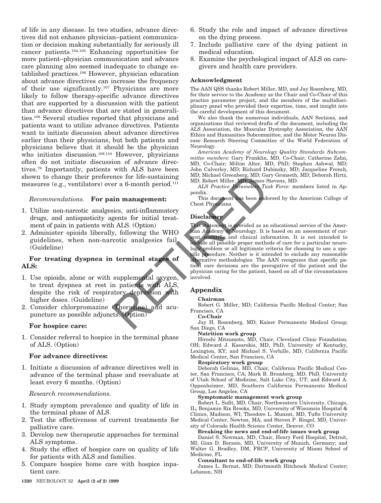of life in any disease. In two studies, advance directives did not enhance physician–patient communication or decision making substantially for seriously ill cancer patients.104,105 Enhancing opportunities for more patient–physician communication and advance care planning also seemed inadequate to change established practices.106 However, physician education about advance directives can increase the frequency of their use significantly.107 Physicians are more likely to follow therapy-specific advance directives that are supported by a discussion with the patient than advance directives that are stated in generalities.108 Several studies reported that physicians and patients want to utilize advance directives. Patients want to initiate discussion about advance directives earlier than their physicians, but both patients and physicians believe that it should be the physician who initiates discussion.<sup>109,110</sup> However, physicians often do not initiate discussion of advance directives.79 Importantly, patients with ALS have been shown to change their preference for life-sustaining measures (e.g., ventilators) over a 6-month period.<sup>111</sup>

#### *Recommendations.* **For pain management:**

- 1. Utilize non-narcotic analgesics, anti-inflammatory drugs, and antispasticity agents for initial treatment of pain in patients with ALS. (Option)
- 2. Administer opioids liberally, following the WHO guidelines, when non-narcotic analgesics fail. (Guideline)

# **For treating dyspnea in terminal stages of ALS:**

- 1. Use opioids, alone or with supplemental oxygen, to treat dyspnea at rest in patients with ALS, despite the risk of respiratory depression with higher doses. (Guideline)
- 2. Consider chlorpromazine (Thorazine) and acupuncture as possible adjuncts. (Option)

#### **For hospice care:**

1. Consider referral to hospice in the terminal phase of ALS. (Option)

#### **For advance directives:**

1. Initiate a discussion of advance directives well in advance of the terminal phase and reevaluate at least every 6 months. (Option)

#### *Research recommendations.*

- 1. Study symptom prevalence and quality of life in the terminal phase of ALS.
- 2. Test the effectiveness of current treatments for palliative care.
- 3. Develop new therapeutic approaches for terminal ALS symptoms.
- 4. Study the effect of hospice care on quality of life for patients with ALS and families.
- 5. Compare hospice home care with hospice inpatient care.
- 6. Study the role and impact of advance directives on the dying process.
- 7. Include palliative care of the dying patient in medical education.
- 8. Examine the psychological impact of ALS on caregivers and health care providers.

#### **Acknowledgment**

The AAN QSS thanks Robert Miller, MD, and Jay Rosenberg, MD, for their service to the Academy as the Chair and Co-Chair of this practice parameter project, and the members of the multidisciplinary panel who provided their expertise, time, and insight into the careful development of this document.

We also thank the numerous individuals, AAN Sections, and organizations that reviewed drafts of the document, including the ALS Association, the Muscular Dystrophy Association, the AAN Ethics and Humanities Subcommittee, and the Motor Neuron Disease Research Steering Committee of the World Federation of Neurology.

*American Academy of Neurology Quality Standards Subcommittee members:* Gary Franklin, MD, Co-Chair; Catherine Zahn, MD, Co-Chair; Milton Alter, MD, PhD; Stephen Ashwal, MD; John Calverley, MD; Richard Dubinsky, MD; Jacqueline French, MD; Michael Greenberg, MD; Gary Gronseth, MD; Deborah Hirtz, MD; Robert Miller, MD; James Stevens, MD.

*ALS Practice Parameters Task Force:* members listed in Appendix.

This document has been endorsed by the American College of Chest Physicians.

#### **Disclaimer**

This statement is provided as an educational service of the American Academy of Neurology. It is based on an assessment of current scientific and clinical information. It is not intended to include all possible proper methods of care for a particular neurologic problem or all legitimate criteria for choosing to use a specific procedure. Neither is it intended to exclude any reasonable alternative methodologies. The AAN recognizes that specific patient care decisions are the prerogative of the patient and the physician caring for the patient, based on all of the circumstances involved. France for life-sustaining MD; Michael Greenberg, MD; Ga<br>
France a 6-month period.<sup>111</sup> ALS Practice Parameters Tay<br>
in management: This shows that the production of the set properties and<br>
the President Constrained Chest

#### **Appendix**

#### **Chairman**

Robert G. Miller, MD; California Pacific Medical Center; San Francisco, CA

**Co-Chair** Jay H. Rosenberg, MD; Kaiser Permanente Medical Group; San Diego, CA

#### **Nutrition work group**

Hiroshi Mitsumoto, MD, Chair, Cleveland Clinic Foundation, OH; Edward J. Kasarskis, MD, PhD, University of Kentucky, Lexington, KY; and Michael S. Verhille, MD, California Pacific Medical Center, San Francisco, CA

#### **Respiratory work group**

Deborah Gelinas, MD, Chair, California Pacific Medical Center, San Francisco, CA; Mark B. Bromberg, MD, PhD, University of Utah School of Medicine, Salt Lake City, UT; and Edward A. Oppenheimer, MD, Southern California Permanente Medical Group, Los Angeles, CA

#### **Symptomatic management work group**

Robert L. Sufit, MD, Chair, Northwestern University, Chicago, IL; Benjamin Rix Brooks, MD, University of Wisconsin Hospital & Clinics, Madison, WI; Theodore L. Munsat, MD, Tufts University Medical Center, Newton, MA; and Steven P. Ringel, MD, University of Colorado Health Science Center, Denver, CO

#### **Breaking the news and end-of-life issues work group**

Daniel S. Newman, MD, Chair, Henry Ford Hospital, Detroit, MI; Gian D. Borasio, MD, University of Munich, Germany; and Walter G. Bradley, DM, FRCP, University of Miami School of Medicine, FL

#### **Consultant to end-of-life work group**

James L. Bernat, MD; Dartmouth Hitchcock Medical Center; Lebanon, NH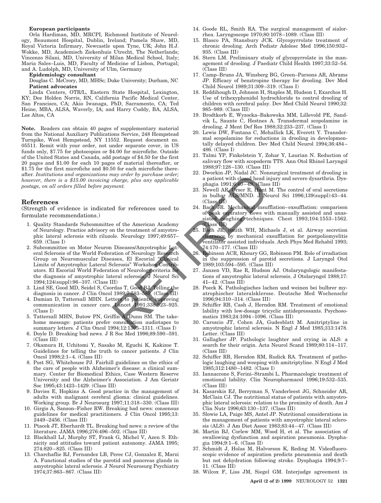#### **European participants**

Orla Hardiman, MD, MRCPI, Richmond Institute of Neurology, Beaumont Hospital, Dublin, Ireland; Pamela Shaw, MD, Royal Victoria Infirmary, Newcastle upon Tyne, UK; John H.J. Wokke, MD, Academisch Ziekenhuis Utrecht, The Netherlands; Vincenzo Silani, MD, University of Milan Medical School, Italy; Maria Sales–Luis, MD, Faculty of Medicine of Lisbon, Portugal; and A. Ludolph, MD, University of Ulm, Germany

**Epidemiology consultant**

Douglas C. McCrory, MD, MHSc; Duke University; Durham, NC **Patient advocates**

Linda Centers, OTR/L, Eastern State Hospital, Lexington, KY; Dee Holden Norris, RN, California Pacific Medical Center, San Francisco, CA; Akio Iwanaga, PhD, Sacramento, CA; Ted Heine, MBA, ALSA, Waverly, IA; and Harry Cuddy, BA, ALSA, Los Altos, CA

**Note.** Readers can obtain 40 pages of supplementary material from the National Auxiliary Publications Service, 248 Hempstead Turnpike, West Hempstead, NY 11552. Request document no. 05511. Remit with your order, not under separate cover, in US funds only, \$7.75 for photocopies or \$4.00 for microfiche. Outside of the United States and Canada, add postage of \$4.50 for the first 20 pages and \$1.00 for each 10 pages of material thereafter, or \$1.75 for the first microfiche and \$0.50 for each microfiche thereafter. *Institutions and organizations may order by purchase order; however, there is a \$15.00 invoicing charge, plus any applicable postage, on all orders filled before payment.*

#### **References**

(Strength of evidence is indicated for references used to formulate recommendations.)

- 1. Quality Standards Subcommittee of the American Academy of Neurology. Practice advisory on the treatment of amyotrophic lateral sclerosis with riluzole. Neurology 1997;49:657– 659. (Class I)
- 2. Subcommittee on Motor Neuron Diseases/Amyotrophic Lateral Sclerosis of the World Federation of Neurology Research Group on Neuromuscular Diseases, El Escorial "Clinical Limits of Amyotrophic Lateral Sclerosis" Workshop Contributors. El Escorial World Federation of Neurology criteria for the diagnosis of amyotrophic lateral sclerosis. J Neurol Sci 1994;124(suppl):96–107. (Class III) and order by purchase order;<br>
thenge, plus any applicable<br>
ment.<br>
2. Dowell AR Orser R, Hunt<br>
2. Newell AR Orser R, Hunt<br>
2. Newell AR Orser R, Hunt<br>
2. Newell AR Orser R, Hunt<br>
2. Newell AR Orser R, Hunt<br>
2. Newell AR Or
- 3. Lind SE, Good MD, Seidel S, Csordas T, Good BJ. Telling the diagnosis in cancer. J Clin Oncol 1989;7:583–589. (Class III)
- 4. Damian D, Tattersall MHN. Letters to patients: improving communication in cancer care. Lancet 1991;338:923–925. (Class I)
- 5. Tattersall MHN, Butow PN, Griffin A, Dunn SM. The takehome message: patients prefer consultation audiotapes to summary letters. J Clin Oncol 1994;12:1305–1311. (Class I)
- 6. Doyle D. Breaking bad news. J R Soc Med 1996;89:590–591. (Class III)
- 7. Okamura H, Uchitomi Y, Sasako M, Eguchi K, Kakizoe T. Guidelines for telling the truth to cancer patients. J Clin Oncol 1998;2:1–4. (Class III)
- 8. Post SG, Whitehouse PJ. Fairhill guidelines on the ethics of the care of people with Alzheimer's disease: a clinical summary. Center for Biomedical Ethics, Case Western Reserve University and the Alzheimer's Association. J Am Geriatr Soc 1995;43:1423–1429. (Class III)
- 9. Davies E, Hopkins A. Good practice in the management of adults with malignant cerebral glioma: clinical guidelines. Working group. Br J Neurosurg 1997;11:318–330. (Class III)
- 10. Girgis A, Sanson–Fisher RW. Breaking bad news: consensus guidelines for medical practitioners. J Clin Oncol 1995;13: 2449–2456. (Class III)
- 11. Ptacek JT, Eberhardt TL. Breaking bad news: a review of the literature. JAMA 1996;276:496–502. (Class III)
- 12. Blackhall LJ, Murphy ST, Frank G, Michel V, Azen S. Ethnicity and attitudes toward patient autonomy. JAMA 1995; 274:820–825. (Class III)
- 13. Charchaflie RJ, Fernandez LB, Perec CJ, Gonzalez E, Marzi A. Functional studies of the parotid and pancreas glands in amyotrophic lateral sclerosis. J Neurol Neurosurg Psychiatry 1974;37:863–867. (Class III)
- 14. Goode RL, Smith RA. The surgical management of sialorrhea. Laryngoscope 1970;80:1078–1089. (Class III)
- 15. Blasco PA, Stansbury JCK. Glycopyrrolate treatment of chronic drooling. Arch Pediatr Adolesc Med 1996;150:932– 935. (Class III)
- 16. Stern LM. Preliminary study of glycopyrrolate in the management of drooling. J Paediatr Child Health 1997;33:52–54. (Class III)
- 17. Camp–Bruno JA, Winsberg BG, Green–Parsons AR, Abrams JP. Efficacy of benztropine therapy for drooling. Dev Med Child Neurol 1989;31:309–319. (Class I)
- 18. Reddihough D, Johnson H, Staples M, Hudson I, Exarchos H. Use of trihexyphenidol hydrochloride to control drooling of children with cerebral palsy. Dev Med Child Neurol 1990;32: 985–989. (Class III)
- 19. Brodtkorb E, Wyzocka–Bakowska MM, Lillevold PE, Sandvik L, Saunte C, Hestnes A. Transdermal scopolamine in drooling. J Ment Def Res 1988;32:233–237. (Class I)
- 20. Lewis DW, Fontana C, Mehallick LK, Everett Y. Transdermal scopolamine for reductions in drooling in developmentally delayed children. Dev Med Child Neurol 1994;36:484– 486. (Class I)
- 21. Talmi YP, Finkelstein Y, Zohar Y, Laurian N. Reduction of salivary flow with scopoderm TTS. Ann Otol Rhinol Laryngol 1988;97:128–130. (Class III)
- 22. Dworkin JP, Nadal JC. Nonsurgical treatment of drooling in a patient with closed head injury and severe dysarthria. Dysphagia 1991;6:40–49. (Class III)
- 23. Newell AR, Orser R, Hunt M. The control of oral secretions in bulbar ALS/MND. J Neurol Sci 1996;139(suppl):43–44. (Class III)
- 24. Bach JR. Mechanical insufflation–exsufflation: comparison of peak expiratory flows with manually assisted and unassisted coughing techniques. Chest 1993;104:1553-1562. (Class III)
- 25. Bach JR, Smith WH, Michaels J, et al. Airway secretion clearance by mechanical exsufflation for postpoliomyelitis ventilator assisted individuals. Arch Phys Med Rehabil 1993; 74:170–177. (Class III)
- 26. Robinson ACR, Khoury GG, Robinson PM. Role of irradiation in the suppression of parotid secretions. J Laryngol Otol 1989;103:594–595. (Class III)
- 27. Janzen VD, Rae R, Hudson AJ. Otolaryngologic manifestations of amyotrophic lateral sclerosis. J Otolaryngol 1988;17: 41–42. (Class III)
- 28. Poeck K. Pathologisches lachen und weinen bei bulbrer myatrophischer lateralsklerose. Deutsche Med Wochenschr 1996;94:310–314. (Class III)
- 29. Schiffer RB, Cash J, Herndon RM. Treatment of emotional lability with low-dosage tricyclic antidepressants. Psychosomatics 1983;24:1094–1096. (Class III)
- 30. Caroscio JT, Cohen JA, Gudesblatt M. Amitriptyline in amyotrophic lateral sclerosis. N Engl J Med 1985;313:1478. Letter. (Class III)
- 31. Gallagher JP. Pathologic laughter and crying in ALS: a search for their origin. Acta Neurol Scand 1989;80:114–117. (Class III)
- 32. Schiffer RB, Herndon RM, Rudick RA. Treatment of pathologic laughing and weeping with amitriptyline. N Engl J Med 1985;312:1480–1482. (Class I)
- 33. Iannaccone S, Ferini–Strambi L. Pharmacologic treatment of emotional lability. Clin Neuropharmacol 1996;19:532–535. (Class III)
- 34. Kasarskis EJ, Berryman S, Vanderleest JG, Schneider AR, McClain CJ. The nutritional status of patients with amyotrophic lateral sclerosis: relation to the proximity of death. Am J Clin Nutr 1996;63:130–137. (Class III)
- 35. Slowie LA, Paige MS, Antel JP. Nutritional considerations in the management of patients with amyotrophic lateral sclerosis (ALS). J Am Diet Assoc 1983;83:44–47. (Class III)
- 36. Martin BJ, Corlew MM, Wood H, et al. The association of swallowing dysfunction and aspiration pneumonia. Dysphagia 1994;9:1–6. (Class II)
- 37. Schmidt J, Holas M, Halvorson K, Reding M. Videofluoroscopic evidence of aspiration predicts pneumonia and death but not dehydration following stroke. Dysphagia 1994;9:7– 11. (Class III)
- 38. Wilcox F, Liss JM, Siegel GM. Interjudge agreement in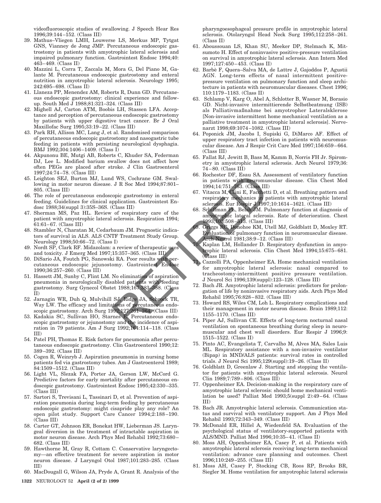videofluoroscopic studies of swallowing. J Speech Hear Res 1996;39:144–152. (Class III)

- 39. Mathus–Vliegen LMH, Louwerse LS, Merkus MP, Tytgat GNS, Vianney de Jong JMP. Percutaneous endoscopic gastrostomy in patients with amyotrophic lateral sclerosis and impaired pulmonary function. Gastrointest Endosc 1994;40: 463–469. (Class II)
- 40. Mazzini L, Corra T, Zaccala M, Mora G, Del Piano M, Galante M. Percutaneous endoscopic gastrostomy and enteral nutrition in amyotrophic lateral sclerosis. Neurology 1995; 242:695–698. (Class II)
- 41. Llaneza PP, Menendez AM, Roberts R, Dunn GD. Percutaneous endoscopic gastrostomy: clinical experience and followup. South Med J 1988;81:321–324. (Class III)
- 42. Mighell AJ, Carton ATM, Boobis LH, Stassen LFA. Acceptance and perception of percutaneous endoscopic gastrostomy by patients with upper digestive tract cancer. Br J Oral Maxillofac Surg 1995;33:19–22. (Class III)
- 43. Park RH, Allison MC, Lang J, et al. Randomised comparison of percutaneous endoscopic gastrostomy and nasogastric tube feeding in patients with persisting neurological dysphagia. BMJ 1992;304:1406–1409. (Class I)
- 44. Akpunonu BE, Mutgi AB, Roberts C, Khuder SA, Federman DJ, Lee L. Modified barium swallow does not affect how often PEGs are placed after stroke. J Clin Gastroenterol 1997;24:74–78. (Class III)
- 45. Leighton SEJ, Burton MJ, Lund WS, Cochrane GM. Swallowing in motor neuron disease. J R Soc Med 1994;87:801– 805. (Class III)
- 46. The role of percutaneous endoscopic gastrostomy in enteral feeding. Guidelines for clinical application. Gastrointest Endosc 1988;34(suppl 3):35S–36S. (Class III)
- 47. Sherman MS, Paz HL. Review of respiratory care of the patient with amyotrophic lateral sclerosis. Respiration 1994; 61:61–67. (Class III)
- 48. Stambler N, Charatan M, Cedarbaum JM. Prognostic indicators of survival in ALS. ALS CNTF Treatment Study Group. Neurology 1998;50:66–72. (Class I)
- 49. Nordt SP, Clark RF. Midazolam: a review of therapeutic uses and toxicity. J Emerg Med 1997;15:357–365. (Class III)
- 50. DiSario JA, Foutch PG, Sanowski RA. Poor results with percutaneous endoscopic jejunostomy. Gastrointest Endosc 1990;36:257–260. (Class III)
- 51. Hassett JM, Sunby C, Flint LM. No elimination of aspiration pneumonia in neurologically disabled patients with feeding gastrostomy. Surg Gynecol Obstet 1988;167:383–388. (Class II)
- 52. Jarnagin WR, Duh Q, Mulvihill SJ, Ridge JA, Schrock TR, Way LW. The efficacy and limitations of percutaneous endoscopic gastrostomy. Arch Surg 1992;127:261–264. (Class III)
- 53. Kadakia SC, Sullivan HO, Starnes E. Percutaneous endoscopic gastrostomy or jejunostomy and the incidence of aspiration in 79 patients. Am J Surg 1992;164:114–118. (Class III)
- 54. Patel PH, Thomas E. Risk factors for pneumonia after percutaneous endoscopic gastrostomy. Clin Gastroenterol 1990;12: 389–392. (Class III)
- 55. Cogen R, Weinryb J. Aspiration pneumonia in nursing home patients fed via gastrostomy tubes. Am J Gastroenterol 1989; 84:1509–1512. (Class III)
- 56. Light VL, Slezak FA, Porter JA, Gerson LW, McCord G. Predictive factors for early mortality after percutaneous endoscopic gastrostomy. Gastrointest Endosc 1995;42:330–335. (Class III)
- 57. Sartori S, Trevisani L, Tassinari D, et al. Prevention of aspiration pneumonia during long-term feeding by percutaneous endoscopic gastrostomy: might cisapride play any role? An open pilot study. Support Care Cancer 1994;2:188–190. (Class III)
- 58. Carter GT, Johnson ER, Bonekat HW, Lieberman JS. Laryngeal diversion in the treatment of intractable aspiration in motor neuron disease. Arch Phys Med Rehabil 1992;73:680– 682. (Class III)
- 59. Hawthorne M, Gray R, Cottam C. Conservative laryngectomy—an effective treatment for severe aspiration in motor neuron disease. J Laryngol Otol 1987;101:283–285. (Class III)
- 60. MacDougall G, Wilson JA, Pryde A, Grant R. Analysis of the

pharyngoesophageal pressure profile in amyotrophic lateral sclerosis. Otolaryngol Head Neck Surg 1995;112:258–261. (Class II)

- 61. Aboussouan LS, Khan SU, Meeker DP, Stelmach K, Mitsumoto H. Effect of noninvasive positive-pressure ventilation on survival in amyotrophic lateral sclerosis. Ann Intern Med 1997;127:450–453. (Class II)
- 62. Barbe` F, Quera–Salva MA, de Lattre J, Gajoddos P, Agustii AGN. Long-term effects of nasal intermittent positivepressure ventilation on pulmonary function and sleep architecture in patients with neuromuscular diseases. Chest 1996; 110:1179–1183. (Class II)
- 63. Schlamp V, Karg O, Abel A, Schlotter B, Wasner M, Borasio GD. Nicht-invasive intermittierende Selbstbeatmung (ISB) als Palliativmaßnahme bei amyotropher Lateralsklerose [Non-invasive intermittent home mechanical ventilation as a palliative treatment in amyotrophic lateral sclerosis]. Nervenarzt 1998;69:1074–1082. (Class III)
- 64. Poponick JM, Jacobs I, Supiski G, DiMarco AF. Effect of upper respiratory tract infection in patients with neuromuscular disease. Am J Respir Crit Care Med 1997;156:659–664. (Class III)
- 65. Fallat RJ, Jewitt B, Bass M, Kamm B, Norris FH Jr. Spirometry in amyotrophic lateral sclerosis. Arch Neurol 1979;36: 74–80. (Class III)
- 66. Rochester DF, Esau SA. Assessment of ventilatory function in patients with neuromuscular disease. Clin Chest Med 1994;14:751–763. (Class III)
- 67. Vitacca M, Clini E, Facchetti D, et al. Breathing pattern and respiratory mechanics in patients with amyotrophic lateral sclerosis. Eur Respir J 1997;10:1614–1621. (Class III)
- 68. Schiffman PL, Belsh JM. Pulmonary function at diagnosis of amyotrophic lateral sclerosis. Rate of deterioration. Chest 1993;103:508–513. (Class III)
- 69. Griggs RC, Donohoe KM, Utell MJ, Goldblatt D, Moxley RT. Evaluation of pulmonary function in neuromuscular disease. Arch Neurol 1981;38:9–12. (Class III)
- Kaplan LM, Hollander D. Respiratory dysfunction in amyotrophic lateral sclerosis. Clin Chest Med 1994;15:675–681. (Class III)
- Cazzolli PA, Oppenheimer EA. Home mechanical ventilation for amyotrophic lateral sclerosis: nasal compared to tracheostomy-intermittent positive pressure ventilation. J Neurol Sci 1996;139(suppl):123–128. (Class III)  $[15,357-365. (Class III) 1R. Poorneunier with the incidence of a spin- and the incidence of the  $\mathbf{R}^2$  and  $\mathbf{R}^3$  are given by the **RE** (Class III) 1R. Right 1R. Right 2R. Right 3R. Right 4R. Right 5R. Right 6R. Right 7R. Right 7R. Right 8R. Right 7R. Right 8R. Right 9R. Right 1R. Right 1R. Right 1R. Right 1R. Right 1R. Right 1R. Right 2R. Right 3R. Right 1R. Right 1R. Right 2R. Right 3R. Right 4R. Right 1R. Right$ 
	- 72. Bach JR. Amyotrophic lateral sclerosis: predictors for prolongation of life by noninvasive respiratory aids. Arch Phys Med Rehabil 1995;76:828–832. (Class III)
	- 73. Howard RS, Wiles CM, Loh L. Respiratory complications and their management in motor neuron disease. Brain 1989;112: 1155–1170. (Class III)
	- 74. Piper AJ, Sullivan CE. Effects of long-term nocturnal nasal ventilation on spontaneous breathing during sleep in neuromuscular and chest wall disorders. Eur Respir J 1996;9: 1515–1522. (Class II)
	- 75. Pinto AC, Evangelista T, Carvalho M, Alves MA, Sales Luis ML. Respiratory assistance with a non-invasive ventilator (Bipap) in MND/ALS patients: survival rates in controlled trials. J Neurol Sci 1995;129(suppl):19–26. (Class II)
	- 76. Goldblatt D, Greenlaw J. Starting and stopping the ventilator for patients with amyotrophic lateral sclerosis. Neurol Clin 1989;7:789–806. (Class III)
	- 77. Oppenheimer EA. Decision-making in the respiratory care of amyotrophic lateral sclerosis: should home mechanical ventilation be used? Palliat Med 1993;5(suppl 2):49–64. (Class III)
	- 78. Bach JR. Amyotrophic lateral sclerosis. Communication status and survival with ventilatory support. Am J Phys Med Rehabil 1993;72:343–349. (Class III)
	- 79. McDonald ER, Hillel A, Wiedenfeld SA. Evaluation of the psychological status of ventilatory-supported patients with ALS/MND. Palliat Med 1996;10:35–41. (Class II)
	- 80. Moss AH, Oppenheimer EA, Casey P, et al. Patients with amyotrophic lateral sclerosis receiving long-term mechanical ventilation: advance care planning and outcomes. Chest 1996;110:249–255. (Class III)
	- 81. Moss AH, Casey P, Stocking CB, Roos RP, Brooks BR, Siegler M. Home ventilation for amyotrophic lateral sclerosis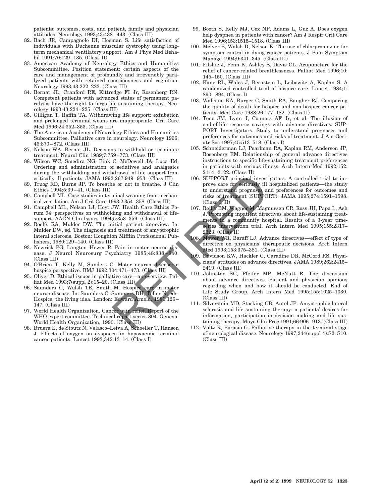patients: outcomes, costs, and patient, family and physician attitudes. Neurology 1993;43:438–443. (Class III)

- 82. Bach JR, Campagnolo DI, Hoeman S. Life satisfaction of individuals with Duchenne muscular dystrophy using longterm mechanical ventilatory support. Am J Phys Med Rehabil 1991;70:129–135. (Class II)
- 83. American Academy of Neurology Ethics and Humanities Subcommittee. Position statement: certain aspects of the care and management of profoundly and irreversibly paralyzed patients with retained consciousness and cognition. Neurology 1993;43:222–223. (Class III)
- 84. Bernat JL, Cranford RE, Kittredge FI Jr, Rosenberg RN. Competent patients with advanced states of permanent paralysis have the right to forgo life-sustaining therapy. Neurology 1993;43:224–225. (Class III)
- 85. Gilligan T, Raffin TA. Withdrawing life support: extubation and prolonged terminal weans are inappropriate. Crit Care Med 1996;24:352–353. (Class III)
- 86. The American Academy of Neurology Ethics and Humanities Subcommittee. Palliative care in neurology. Neurology 1996; 46:870–872. (Class III)
- 87. Nelson WA, Bernat JL. Decisions to withhold or terminate treatment. Neurol Clin 1989;7:759–773. (Class III)
- 88. Wilson WC, Smedira NG, Fink C, McDowell JA, Luce JM. Ordering and administration of sedatives and analgesics during the withholding and withdrawal of life support from critically ill patients. JAMA 1992;267:949–953. (Class III)
- Truog RD, Burns JP. To breathe or not to breathe. J Clin Ethics 1994;5:39–41. (Class III)
- 90. Campbell ML. Case studies in terminal weaning from mechanical ventilation. Am J Crit Care 1993;2:354–358. (Class III)
- 91. Campbell ML, Nelson LJ, Hoyt JW. Health Care Ethics Forum 94: perspectives on withholding and withdrawal of lifesupport. AACN Clin Issues 1994;5:353–359. (Class III)
- 92. Roelfs RA, Mulder DW. The initial patient interview. In: Mulder DW, ed. The diagnosis and treatment of amyotrophic lateral sclerosis. Boston: Houghton Mifflin Professional Publishers, 1980:129–140. (Class III)
- 93. Newrick PG, Langton–Hewer R. Pain in motor neuron disease. J Neurol Neurosurg Psychiatry 1985;48:838–840. (Class III)
- 94. O'Brien T, Kelly M, Sunders C. Motor neuron disease: hospice perspective. BMJ 1992;304:471-473. (Class III)
- 95. Oliver D. Ethical issues in palliative care—an overview. Palliat Med 1993;7(suppl 2):15–20. (Class III)
- 96. Saunders C, Walsh TE, Smith M. Hospice care in motor neuron disease. In: Saunders C, Summers DH, Teller N, eds. Hospice: the living idea. London: Edward Arnold, 1981:126– 147. (Class III)
- 97. World Health Organization. Cancer pain relief. Report of the WHO expert committee. Technical report series 804. Geneva: World Health Organization, 1990. (Class III)
- 98. Bruera E, de Stoutz N, Velasco–Leiva A, Schoeller T, Hanson J. Effects of oxygen on dyspnoea in hypoxaemic terminal cancer patients. Lancet 1993;342:13–14. (Class I)
- 99. Booth S, Kelly MJ, Cox NP, Adams L, Guz A. Does oxygen help dyspnea in patients with cancer? Am J Respir Crit Care Med 1996;153:1515–1518. (Class III)
- 100. McIver B, Walsh D, Nelson K. The use of chlorpromazine for symptom control in dying cancer patients. J Pain Symptom Manage 1994;9:341–345. (Class III)
- 101. Filshie J, Penn K, Ashley S, Davis CL. Acupuncture for the relief of cancer-related breathlessness. Palliat Med 1996;10: 145–150. (Class III)
- 102. Kane RL, Wales J, Bernstein L, Leibowitz A, Kaplan S. A randomized controlled trial of hospice care. Lancet 1984;1: 890–894. (Class I)
- 103. Wallston KA, Burger C, Smith RA, Baugher RJ. Comparing the quality of death for hospice and non-hospice cancer patients. Med Care 1988;26:177–182. (Class II)
- 104. Teno JM, Lynn J, Connors AF Jr, et al. The illusion of end-of-life resource savings with advance directives. SUP-PORT Investigators. Study to understand prognoses and preferences for outcomes and risks of treatment. J Am Geriatr Soc 1997;45:513–518. (Class I)
- 105. Schneiderman LJ, Pearlman RA, Kaplan RM, Anderson JP, Rosenberg EM. Relationship of general advance directives instructions to specific life-sustaining treatment preferences in patients with serious illness. Arch Intern Med 1992;152: 2114–2122. (Class II)
- 106. SUPPORT principal investigators. A controlled trial to improve care for seriously ill hospitalized patients—the study to understand prognoses and preferences for outcomes and risks of treatment (SUPPORT). JAMA 1995;274:1591–1598. (Class I, II)
- 107. Reilly BM, Wagner M, Magnussen CR, Ross JH, Papa L, Ash J. Promoting inpatient directives about life-sustaining treatments in a community hospital. Results of a 3-year timeseries intervention trial. Arch Intern Med 1995;155:2317– 2323. (Class II)
- 108. Mower WR, Baraff LJ. Advance directives—effect of type of directive on physicians' therapeutic decisions. Arch Intern Med 1993;153:375–381. (Class III)
- 109. Davidson KW, Hackler C, Caradine DR, McCord RS. Physicians' attitudes on advance directives. JAMA 1989;262:2415– 2419. (Class III)
- 110. Johnston SC, Pfeifer MP, McNutt R. The discussion about advance directives. Patient and physician opinions regarding when and how it should be conducted. End of Life Study Group. Arch Intern Med 1995;155:1025–1030. (Class III) und awal of the support round is the support of the support of the support of the support of the support of the methanic control of the methanic state of the support of the methanic state on Mifflin Professional Public (Cl
	- 111. Silverstein MD, Stocking CB, Antel JP. Amyotrophic lateral sclerosis and life sustaining therapy: a patients' desires for information, participation in decision making and life sustaining therapy. Mayo Clin Proc 1991;66:906–913. (Class III)
	- 112. Voltz R, Borasio G. Palliative therapy in the terminal stage of neurological disease. Neurology 1997;244(suppl 4):S2–S10. (Class III)